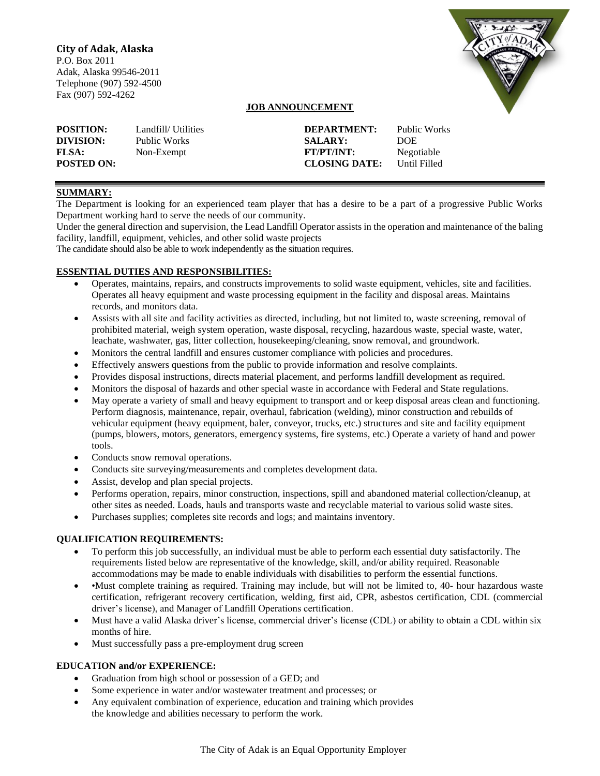# **City of Adak, Alaska**

P.O. Box 2011 Adak, Alaska 99546-2011 Telephone (907) 592-4500 Fax (907) 592-4262



## **JOB ANNOUNCEMENT**

| <b>POSITION:</b>                  | Landfill/ Utilities | DEPARTMENT:                               | Public Works               |
|-----------------------------------|---------------------|-------------------------------------------|----------------------------|
| DIVISION:                         | Public Works        | <b>SALARY:</b>                            | <b>DOE</b>                 |
| <b>FLSA:</b><br><b>POSTED ON:</b> | Non-Exempt          | <b>FT/PT/INT:</b><br><b>CLOSING DATE:</b> | Negotiable<br>Until Filled |

## **SUMMARY:**

The Department is looking for an experienced team player that has a desire to be a part of a progressive Public Works Department working hard to serve the needs of our community.

Under the general direction and supervision, the Lead Landfill Operator assists in the operation and maintenance of the baling facility, landfill, equipment, vehicles, and other solid waste projects

The candidate should also be able to work independently as the situation requires.

### **ESSENTIAL DUTIES AND RESPONSIBILITIES:**

- Operates, maintains, repairs, and constructs improvements to solid waste equipment, vehicles, site and facilities. Operates all heavy equipment and waste processing equipment in the facility and disposal areas. Maintains records, and monitors data.
- Assists with all site and facility activities as directed, including, but not limited to, waste screening, removal of prohibited material, weigh system operation, waste disposal, recycling, hazardous waste, special waste, water, leachate, washwater, gas, litter collection, housekeeping/cleaning, snow removal, and groundwork.
- Monitors the central landfill and ensures customer compliance with policies and procedures.
- Effectively answers questions from the public to provide information and resolve complaints.
- Provides disposal instructions, directs material placement, and performs landfill development as required.
- Monitors the disposal of hazards and other special waste in accordance with Federal and State regulations.
- May operate a variety of small and heavy equipment to transport and or keep disposal areas clean and functioning. Perform diagnosis, maintenance, repair, overhaul, fabrication (welding), minor construction and rebuilds of vehicular equipment (heavy equipment, baler, conveyor, trucks, etc.) structures and site and facility equipment (pumps, blowers, motors, generators, emergency systems, fire systems, etc.) Operate a variety of hand and power tools.
- Conducts snow removal operations.
- Conducts site surveying/measurements and completes development data.
- Assist, develop and plan special projects.
- Performs operation, repairs, minor construction, inspections, spill and abandoned material collection/cleanup, at other sites as needed. Loads, hauls and transports waste and recyclable material to various solid waste sites.
- Purchases supplies; completes site records and logs; and maintains inventory.

## **QUALIFICATION REQUIREMENTS:**

- To perform this job successfully, an individual must be able to perform each essential duty satisfactorily. The requirements listed below are representative of the knowledge, skill, and/or ability required. Reasonable accommodations may be made to enable individuals with disabilities to perform the essential functions.
- • Must complete training as required. Training may include, but will not be limited to, 40- hour hazardous waste certification, refrigerant recovery certification, welding, first aid, CPR, asbestos certification, CDL (commercial driver's license), and Manager of Landfill Operations certification.
- Must have a valid Alaska driver's license, commercial driver's license (CDL) or ability to obtain a CDL within six months of hire.
- Must successfully pass a pre-employment drug screen

### **EDUCATION and/or EXPERIENCE:**

- Graduation from high school or possession of a GED; and
- Some experience in water and/or wastewater treatment and processes; or
- Any equivalent combination of experience, education and training which provides the knowledge and abilities necessary to perform the work.